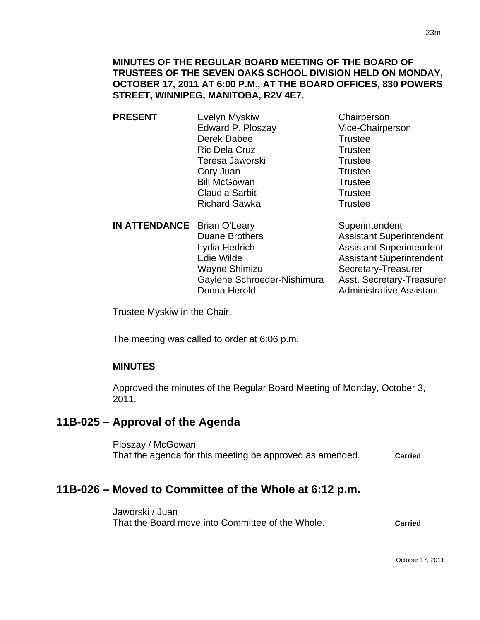### **MINUTES OF THE REGULAR BOARD MEETING OF THE BOARD OF TRUSTEES OF THE SEVEN OAKS SCHOOL DIVISION HELD ON MONDAY, OCTOBER 17, 2011 AT 6:00 P.M., AT THE BOARD OFFICES, 830 POWERS STREET, WINNIPEG, MANITOBA, R2V 4E7.**

- **PRESENT** Evelyn Myskiw Chairperson Edward P. Ploszay Vice-Chairperson Derek Dabee Trustee Ric Dela Cruz Trustee Teresa Jaworski **Trustee** Cory Juan **Trustee** Bill McGowan Trustee Claudia Sarbit **Trustee** Richard Sawka Trustee
- **IN ATTENDANCE** Brian O'Leary Superintendent Duane Brothers **Assistant Superintendent** Lydia Hedrich **Assistant Superintendent** Edie Wilde **Assistant Superintendent** Wayne Shimizu Secretary-Treasurer Gaylene Schroeder-Nishimura Asst. Secretary-Treasurer Donna Herold **Administrative Assistant**

Trustee Myskiw in the Chair.

The meeting was called to order at 6:06 p.m.

### **MINUTES**

Approved the minutes of the Regular Board Meeting of Monday, October 3, 2011.

# **11B-025 – Approval of the Agenda**

Ploszay / McGowan That the agenda for this meeting be approved as amended. **Carried**

# **11B-026 – Moved to Committee of the Whole at 6:12 p.m.**

Jaworski / Juan That the Board move into Committee of the Whole. **Carried**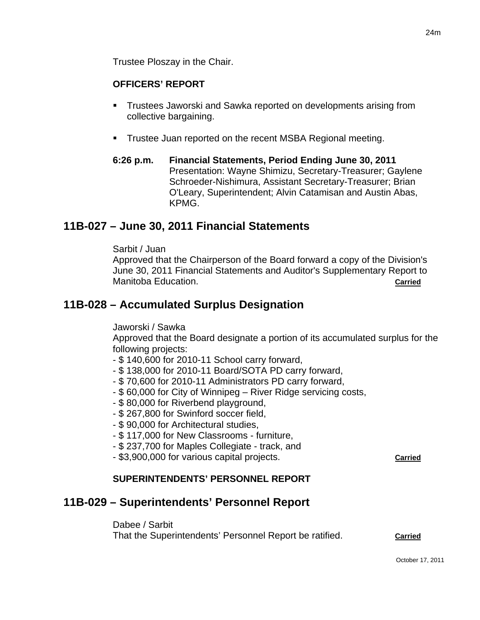Trustee Ploszay in the Chair.

## **OFFICERS' REPORT**

- Trustees Jaworski and Sawka reported on developments arising from collective bargaining.
- **Trustee Juan reported on the recent MSBA Regional meeting.**
- **6:26 p.m. Financial Statements, Period Ending June 30, 2011**  Presentation: Wayne Shimizu, Secretary-Treasurer; Gaylene Schroeder-Nishimura, Assistant Secretary-Treasurer; Brian O'Leary, Superintendent; Alvin Catamisan and Austin Abas, KPMG.

# **11B-027 – June 30, 2011 Financial Statements**

Sarbit / Juan

Approved that the Chairperson of the Board forward a copy of the Division's June 30, 2011 Financial Statements and Auditor's Supplementary Report to Manitoba Education. **Carried**

## **11B-028 – Accumulated Surplus Designation**

Jaworski / Sawka

Approved that the Board designate a portion of its accumulated surplus for the following projects:

- \$ 140,600 for 2010-11 School carry forward,
- \$ 138,000 for 2010-11 Board/SOTA PD carry forward,
- \$ 70,600 for 2010-11 Administrators PD carry forward,
- \$ 60,000 for City of Winnipeg River Ridge servicing costs,
- \$ 80,000 for Riverbend playground,
- \$ 267,800 for Swinford soccer field,
- \$ 90,000 for Architectural studies,
- \$ 117,000 for New Classrooms furniture,
- \$ 237,700 for Maples Collegiate track, and
- \$3,900,000 for various capital projects. **Carried**

### **SUPERINTENDENTS' PERSONNEL REPORT**

## **11B-029 – Superintendents' Personnel Report**

Dabee / Sarbit

That the Superintendents' Personnel Report be ratified. **Carried**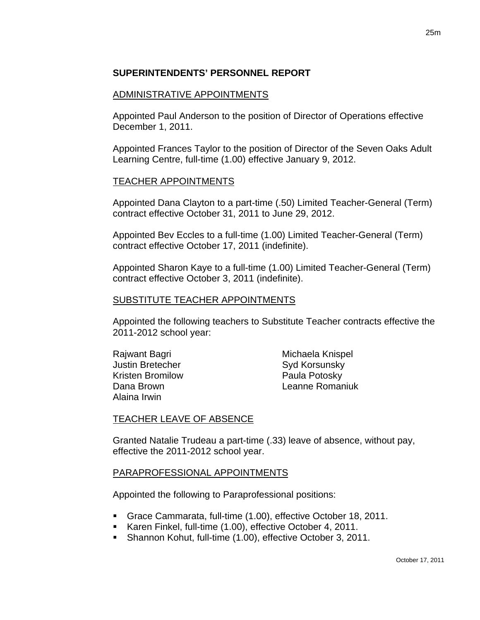## **SUPERINTENDENTS' PERSONNEL REPORT**

#### ADMINISTRATIVE APPOINTMENTS

Appointed Paul Anderson to the position of Director of Operations effective December 1, 2011.

Appointed Frances Taylor to the position of Director of the Seven Oaks Adult Learning Centre, full-time (1.00) effective January 9, 2012.

#### TEACHER APPOINTMENTS

Appointed Dana Clayton to a part-time (.50) Limited Teacher-General (Term) contract effective October 31, 2011 to June 29, 2012.

Appointed Bev Eccles to a full-time (1.00) Limited Teacher-General (Term) contract effective October 17, 2011 (indefinite).

Appointed Sharon Kaye to a full-time (1.00) Limited Teacher-General (Term) contract effective October 3, 2011 (indefinite).

#### SUBSTITUTE TEACHER APPOINTMENTS

Appointed the following teachers to Substitute Teacher contracts effective the 2011-2012 school year:

Justin Bretecher Syd Korsunsky Kristen Bromilow **Paula Potosky** Alaina Irwin

Rajwant Bagri **Michaela Knispel** Dana Brown Leanne Romaniuk

### TEACHER LEAVE OF ABSENCE

Granted Natalie Trudeau a part-time (.33) leave of absence, without pay, effective the 2011-2012 school year.

### PARAPROFESSIONAL APPOINTMENTS

Appointed the following to Paraprofessional positions:

- Grace Cammarata, full-time (1.00), effective October 18, 2011.
- Karen Finkel, full-time (1.00), effective October 4, 2011.
- Shannon Kohut, full-time (1.00), effective October 3, 2011.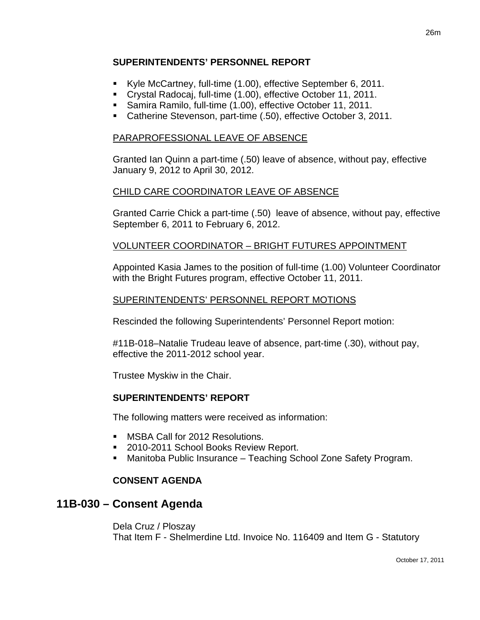## **SUPERINTENDENTS' PERSONNEL REPORT**

- Kyle McCartney, full-time (1.00), effective September 6, 2011.
- Crystal Radocaj, full-time (1.00), effective October 11, 2011.
- Samira Ramilo, full-time (1.00), effective October 11, 2011.
- Catherine Stevenson, part-time (.50), effective October 3, 2011.

## PARAPROFESSIONAL LEAVE OF ABSENCE

Granted Ian Quinn a part-time (.50) leave of absence, without pay, effective January 9, 2012 to April 30, 2012.

## CHILD CARE COORDINATOR LEAVE OF ABSENCE

Granted Carrie Chick a part-time (.50) leave of absence, without pay, effective September 6, 2011 to February 6, 2012.

## VOLUNTEER COORDINATOR – BRIGHT FUTURES APPOINTMENT

Appointed Kasia James to the position of full-time (1.00) Volunteer Coordinator with the Bright Futures program, effective October 11, 2011.

### SUPERINTENDENTS' PERSONNEL REPORT MOTIONS

Rescinded the following Superintendents' Personnel Report motion:

#11B-018–Natalie Trudeau leave of absence, part-time (.30), without pay, effective the 2011-2012 school year.

Trustee Myskiw in the Chair.

## **SUPERINTENDENTS' REPORT**

The following matters were received as information:

- **MSBA Call for 2012 Resolutions.**
- 2010-2011 School Books Review Report.
- Manitoba Public Insurance Teaching School Zone Safety Program.

### **CONSENT AGENDA**

# **11B-030 – Consent Agenda**

Dela Cruz / Ploszay That Item F - Shelmerdine Ltd. Invoice No. 116409 and Item G - Statutory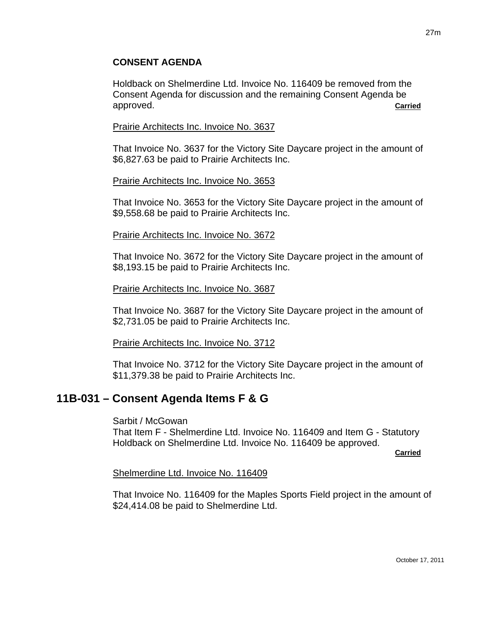## **CONSENT AGENDA**

Holdback on Shelmerdine Ltd. Invoice No. 116409 be removed from the Consent Agenda for discussion and the remaining Consent Agenda be approved. **Carried**

#### Prairie Architects Inc. Invoice No. 3637

That Invoice No. 3637 for the Victory Site Daycare project in the amount of \$6,827.63 be paid to Prairie Architects Inc.

#### Prairie Architects Inc. Invoice No. 3653

That Invoice No. 3653 for the Victory Site Daycare project in the amount of \$9,558.68 be paid to Prairie Architects Inc.

#### Prairie Architects Inc. Invoice No. 3672

That Invoice No. 3672 for the Victory Site Daycare project in the amount of \$8,193.15 be paid to Prairie Architects Inc.

#### Prairie Architects Inc. Invoice No. 3687

That Invoice No. 3687 for the Victory Site Daycare project in the amount of \$2,731.05 be paid to Prairie Architects Inc.

#### Prairie Architects Inc. Invoice No. 3712

That Invoice No. 3712 for the Victory Site Daycare project in the amount of \$11,379.38 be paid to Prairie Architects Inc.

# **11B-031 – Consent Agenda Items F & G**

#### Sarbit / McGowan

That Item F - Shelmerdine Ltd. Invoice No. 116409 and Item G - Statutory Holdback on Shelmerdine Ltd. Invoice No. 116409 be approved.

**Carried** Carried Communication of the Carried Carried Carried Carried Carried Carried Carried Carried Carried Carried Carried Carried Carried Carried Carried Carried Carried Carried Carried Carried Carried Carried Carried

### Shelmerdine Ltd. Invoice No. 116409

That Invoice No. 116409 for the Maples Sports Field project in the amount of \$24,414.08 be paid to Shelmerdine Ltd.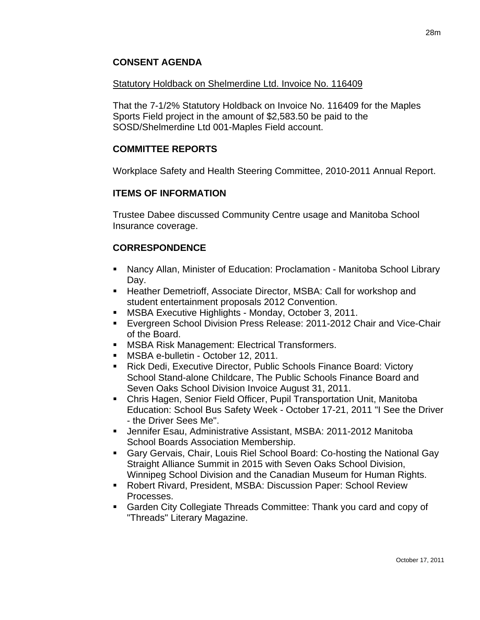## Statutory Holdback on Shelmerdine Ltd. Invoice No. 116409

That the 7-1/2% Statutory Holdback on Invoice No. 116409 for the Maples Sports Field project in the amount of \$2,583.50 be paid to the SOSD/Shelmerdine Ltd 001-Maples Field account.

# **COMMITTEE REPORTS**

Workplace Safety and Health Steering Committee, 2010-2011 Annual Report.

## **ITEMS OF INFORMATION**

Trustee Dabee discussed Community Centre usage and Manitoba School Insurance coverage.

## **CORRESPONDENCE**

- Nancy Allan, Minister of Education: Proclamation Manitoba School Library Day.
- Heather Demetrioff, Associate Director, MSBA: Call for workshop and student entertainment proposals 2012 Convention.
- MSBA Executive Highlights Monday, October 3, 2011.
- Evergreen School Division Press Release: 2011-2012 Chair and Vice-Chair of the Board.
- **MSBA Risk Management: Electrical Transformers.**
- MSBA e-bulletin October 12, 2011.
- Rick Dedi, Executive Director, Public Schools Finance Board: Victory School Stand-alone Childcare, The Public Schools Finance Board and Seven Oaks School Division Invoice August 31, 2011.
- Chris Hagen, Senior Field Officer, Pupil Transportation Unit, Manitoba Education: School Bus Safety Week - October 17-21, 2011 "I See the Driver - the Driver Sees Me".
- Jennifer Esau, Administrative Assistant, MSBA: 2011-2012 Manitoba School Boards Association Membership.
- Gary Gervais, Chair, Louis Riel School Board: Co-hosting the National Gay Straight Alliance Summit in 2015 with Seven Oaks School Division, Winnipeg School Division and the Canadian Museum for Human Rights.
- Robert Rivard, President, MSBA: Discussion Paper: School Review Processes.
- Garden City Collegiate Threads Committee: Thank you card and copy of "Threads" Literary Magazine.